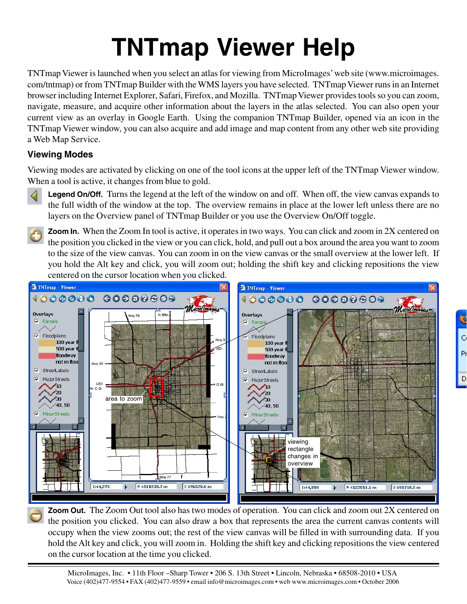# **TNTmap Viewer Help**

TNTmap Viewer is launched when you select an atlas for viewing from MicroImages' web site (www.microimages. com/tntmap) or from TNTmap Builder with the WMS layers you have selected. TNTmap Viewer runs in an Internet browser including Internet Explorer, Safari, Firefox, and Mozilla. TNTmap Viewer provides tools so you can zoom, navigate, measure, and acquire other information about the layers in the atlas selected. You can also open your current view as an overlay in Google Earth. Using the companion TNTmap Builder, opened via an icon in the TNTmap Viewer window, you can also acquire and add image and map content from any other web site providing a Web Map Service.

## **Viewing Modes**

Viewing modes are activated by clicking on one of the tool icons at the upper left of the TNTmap Viewer window. When a tool is active, it changes from blue to gold.



Legend On/Off. Turns the legend at the left of the window on and off. When off, the view canvas expands to the full width of the window at the top. The overview remains in place at the lower left unless there are no layers on the Overview panel of TNTmap Builder or you use the Overview On/Off toggle.

**Zoom In.** When the Zoom In tool is active, it operates in two ways. You can click and zoom in 2X centered on the position you clicked in the view or you can click, hold, and pull out a box around the area you want to zoom to the size of the view canvas. You can zoom in on the view canvas or the small overview at the lower left. If you hold the Alt key and click, you will zoom out; holding the shift key and clicking repositions the view centered on the cursor location when you clicked.

d

Pr



**Zoom Out.** The Zoom Out tool also has two modes of operation. You can click and zoom out 2X centered on the position you clicked. You can also draw a box that represents the area the current canvas contents will occupy when the view zooms out; the rest of the view canvas will be filled in with surrounding data. If you hold the Alt key and click, you will zoom in. Holding the shift key and clicking repositions the view centered on the cursor location at the time you clicked.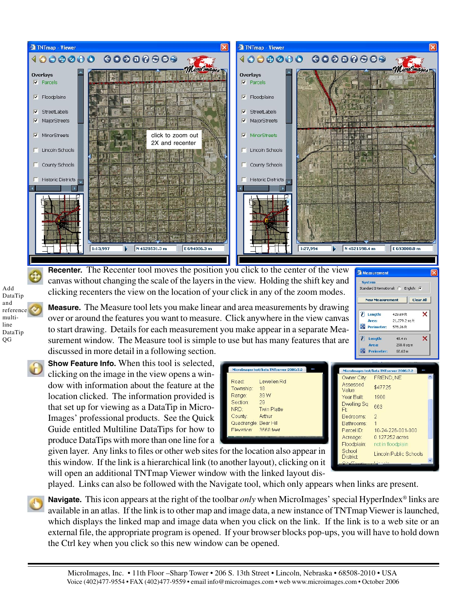

**Recenter.** The Recenter tool moves the position you click to the center of the view canvas without changing the scale of the layers in the view. Holding the shift key and clicking recenters the view on the location of your click in any of the zoom modes.

**Measure.** The Measure tool lets you make linear and area measurements by drawing over or around the features you want to measure. Click anywhere in the view canvas to start drawing. Details for each measurement you make appear in a separate Measurement window. The Measure tool is simple to use but has many features that are discussed in more detail in a following section.

**Show Feature Info.** When this tool is selected, clicking on the image in the view opens a window with information about the feature at the location clicked. The information provided is that set up for viewing as a DataTip in Micro-Images' professional products. See the Quick Guide entitled Multiline DataTips for how to produce DataTips with more than one line for a

| MicroImages test/beta TNTserver 2006:7.2 | MicroImages test/beta TNTserver 2006:7.2                    |  |
|------------------------------------------|-------------------------------------------------------------|--|
|                                          | Owner City:<br>FRIEND, NE                                   |  |
| Road:<br>Lewellen Rd                     | Assessed                                                    |  |
| Township:<br>18                          | \$47725<br>Value:                                           |  |
| 39 W<br>Range:                           | Year Built:<br>1900                                         |  |
| 29<br>Section:                           | Dwelling Sq                                                 |  |
| NRD:<br><b>Twin Platte</b>               | 663<br>Ft                                                   |  |
| Arthur<br>County:                        | $\mathcal{D}$<br>Bedrooms:                                  |  |
| Quadrangle: Bear Hill                    | Bathrooms:                                                  |  |
| 3668 feet<br>Flevation:                  | 10-24-226-001-000<br>Parcel ID:                             |  |
|                                          | 0.127252 acres<br>Acreage:                                  |  |
|                                          | Floodplain:<br>not in floodplain                            |  |
| or the location also appear in           | School<br><b>Lincoln Public Schools</b><br><b>District:</b> |  |

<sup>3</sup> Measurement System Standard International: C

 $\bar{P}$  Length:

Area: **Perimeter:** 

 $\bar{z}$  Length:

Area: **OS** Perimeter

**New Measurement** 

English: C

429.69 ft

578.26 ft

 $49.4 m$ 290.8 sq m

68.63 m

21,279.2 sq ft

**Clear All** 

×

×

given layer. Any links to files or other web sites for this window. If the link is a hierarchical link (to another layout), clicking on it will open an additional TNTmap Viewer window with the linked layout dis-

played. Links can also be followed with the Navigate tool, which only appears when links are present.

**Navigate.** This icon appears at the right of the toolbar *only* when MicroImages' special HyperIndex® links are available in an atlas. If the link is to other map and image data, a new instance of TNTmap Viewer is launched, which displays the linked map and image data when you click on the link. If the link is to a web site or an external file, the appropriate program is opened. If your browser blocks pop-ups, you will have to hold down the Ctrl key when you click so this new window can be opened.

Add DataTip and reference multiline DataTip QG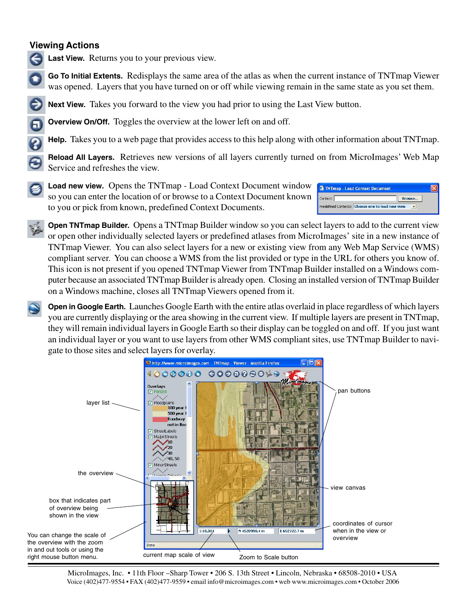#### **Viewing Actions**



**Last View.** Returns you to your previous view.

**Go To Initial Extents.** Redisplays the same area of the atlas as when the current instance of TNTmap Viewer was opened. Layers that you have turned on or off while viewing remain in the same state as you set them.

**Next View.** Takes you forward to the view you had prior to using the Last View button.

**Overview On/Off.** Toggles the overview at the lower left on and off.

**Help.** Takes you to a web page that provides access to this help along with other information about TNTmap.

**Reload All Layers.** Retrieves new versions of all layers currently turned on from MicroImages' Web Map Service and refreshes the view.



**Load new view.** Opens the TNTmap - Load Context Document window so you can enter the location of or browse to a Context Document known to you or pick from known, predefined Context Documents.



**Open TNTmap Builder.** Opens a TNTmap Builder window so you can select layers to add to the current view or open other individually selected layers or predefined atlases from MicroImages' site in a new instance of TNTmap Viewer. You can also select layers for a new or existing view from any Web Map Service (WMS) compliant server. You can choose a WMS from the list provided or type in the URL for others you know of. This icon is not present if you opened TNTmap Viewer from TNTmap Builder installed on a Windows computer because an associated TNTmap Builder is already open. Closing an installed version of TNTmap Builder on a Windows machine, closes all TNTmap Viewers opened from it.

**Open in Google Earth.** Launches Google Earth with the entire atlas overlaid in place regardless of which layers you are currently displaying or the area showing in the current view. If multiple layers are present in TNTmap, they will remain individual layers in Google Earth so their display can be toggled on and off. If you just want an individual layer or you want to use layers from other WMS compliant sites, use TNTmap Builder to navigate to those sites and select layers for overlay.

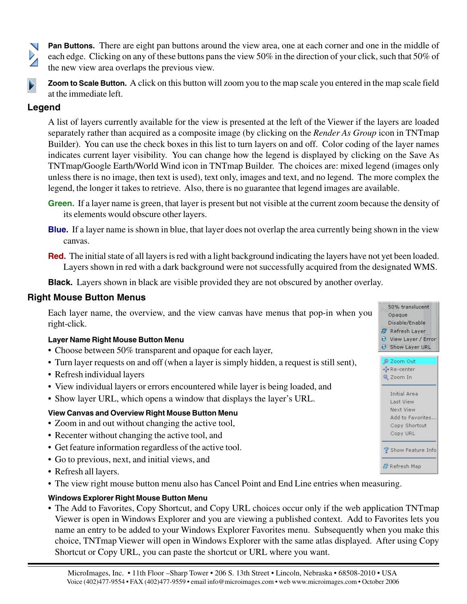**Pan Buttons.** There are eight pan buttons around the view area, one at each corner and one in the middle of each edge. Clicking on any of these buttons pans the view 50% in the direction of your click, such that 50% of the new view area overlaps the previous view.

**Zoom to Scale Button.** A click on this button will zoom you to the map scale you entered in the map scale field at the immediate left.

### **Legend**

A list of layers currently available for the view is presented at the left of the Viewer if the layers are loaded separately rather than acquired as a composite image (by clicking on the *Render As Group* icon in TNTmap Builder). You can use the check boxes in this list to turn layers on and off. Color coding of the layer names indicates current layer visibility. You can change how the legend is displayed by clicking on the Save As TNTmap/Google Earth/World Wind icon in TNTmap Builder. The choices are: mixed legend (images only unless there is no image, then text is used), text only, images and text, and no legend. The more complex the legend, the longer it takes to retrieve. Also, there is no guarantee that legend images are available.

- **Green.** If a layer name is green, that layer is present but not visible at the current zoom because the density of its elements would obscure other layers.
- **Blue.** If a layer name is shown in blue, that layer does not overlap the area currently being shown in the view canvas.
- **Red.** The initial state of all layers is red with a light background indicating the layers have not yet been loaded. Layers shown in red with a dark background were not successfully acquired from the designated WMS.

50% translucent Opaque Disable/Enable <sup>2</sup> Refresh Layer U View Layer / Error Show Layer URL 2oom Out Re-center Q Zoom In

> Initial Area **Last View** Next View Add to Favorites.. Copy Shortcut Copy URL

Show Feature Info

중 Refresh Map

**Black.** Layers shown in black are visible provided they are not obscured by another overlay.

#### **Right Mouse Button Menus**

Each layer name, the overview, and the view canvas have menus that pop-in when you right-click.

#### **Layer Name Right Mouse Button Menu**

- Choose between 50% transparent and opaque for each layer,
- Turn layer requests on and off (when a layer is simply hidden, a request is still sent),
- Refresh individual layers
- View individual layers or errors encountered while layer is being loaded, and
- Show layer URL, which opens a window that displays the layer's URL.

#### **View Canvas and Overview Right Mouse Button Menu**

- Zoom in and out without changing the active tool,
- Recenter without changing the active tool, and
- Get feature information regardless of the active tool.
- Go to previous, next, and initial views, and
- Refresh all layers.
- The view right mouse button menu also has Cancel Point and End Line entries when measuring.

#### **Windows Explorer Right Mouse Button Menu**

• The Add to Favorites, Copy Shortcut, and Copy URL choices occur only if the web application TNTmap Viewer is open in Windows Explorer and you are viewing a published context. Add to Favorites lets you name an entry to be added to your Windows Explorer Favorites menu. Subsequently when you make this choice, TNTmap Viewer will open in Windows Explorer with the same atlas displayed. After using Copy Shortcut or Copy URL, you can paste the shortcut or URL where you want.